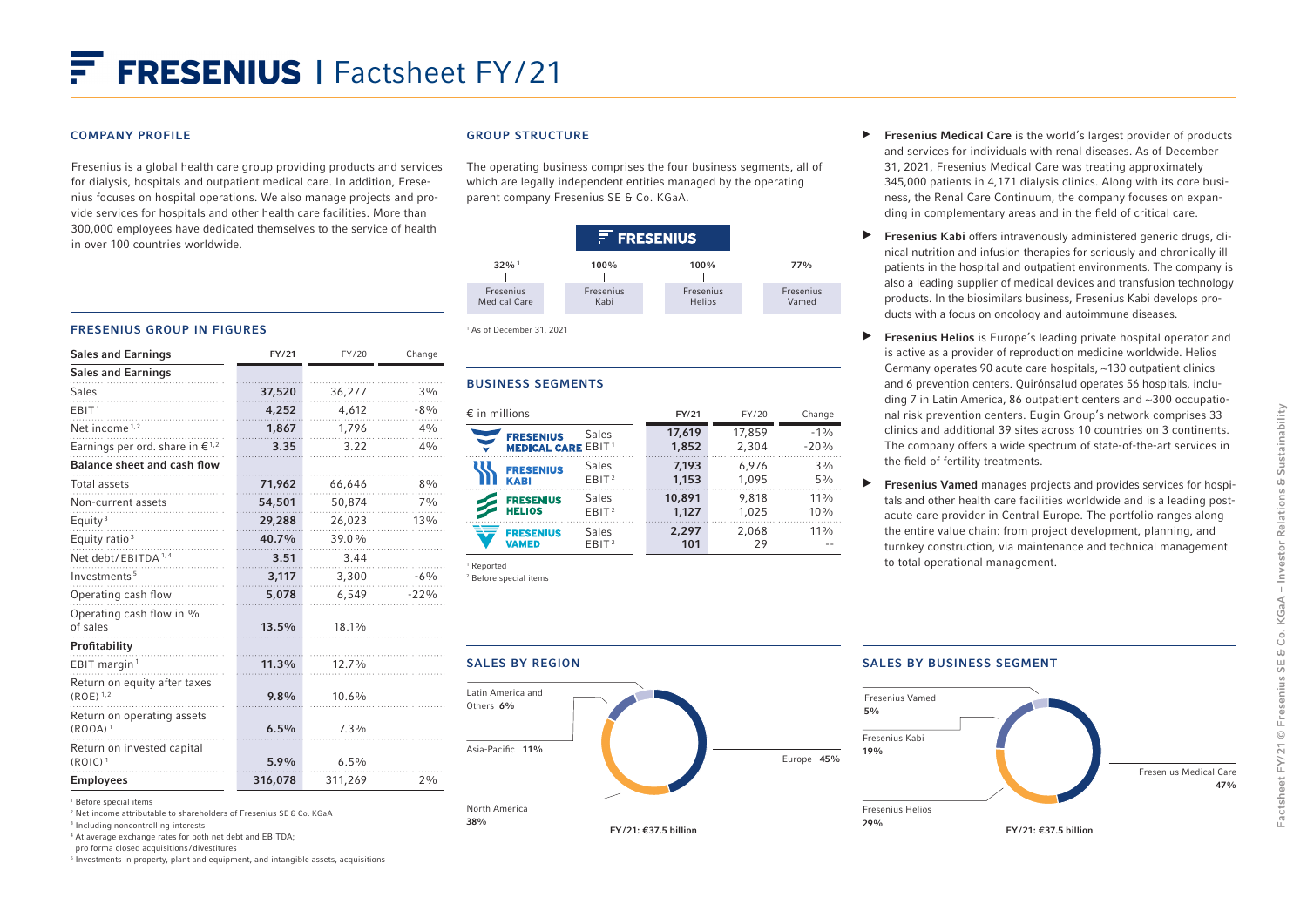#### COMPANY PROFILE

Fresenius is a global health care group providing products and services for dialysis, hospitals and outpatient medical care. In addition, Fresenius focuses on hospital operations. We also manage projects and provide services for hospitals and other health care facilities. More than 300,000 employees have dedicated themselves to the service of health in over 100 countries worldwide.

### GROUP STRUCTURE

The operating business comprises the four business segments, all of which are legally independent entities managed by the operating parent company Fresenius SE & Co. KGaA.



# FRESENIUS GROUP IN FIGURES

| <b>Sales and Earnings</b>                         | FY/21   | FY/20   | Change |
|---------------------------------------------------|---------|---------|--------|
| <b>Sales and Earnings</b>                         |         |         |        |
| <b>Sales</b>                                      | 37,520  | 36,277  | 3%     |
| EBIT <sup>1</sup>                                 | 4,252   | 4,612   | $-8%$  |
| Net income <sup>1,2</sup>                         | 1,867   | 1,796   | 4%     |
| Earnings per ord. share in $\epsilon^{1,2}$       | 3.35    | 3.22    | 4%     |
| <b>Balance sheet and cash flow</b>                |         |         |        |
| <b>Total assets</b>                               | 71,962  | 66,646  | 8%     |
| Non-current assets                                | 54,501  | 50,874  | 7%     |
| Equity <sup>3</sup>                               | 29,288  | 26,023  | 13%    |
| Equity ratio <sup>3</sup>                         | 40.7%   | 39.0%   |        |
| Net debt/EBITDA <sup>1,4</sup>                    | 3.51    | 3.44    |        |
| Investments <sup>5</sup>                          | 3,117   | 3,300   | $-6%$  |
| Operating cash flow                               | 5,078   | 6,549   | $-22%$ |
| Operating cash flow in %<br>of sales              | 13.5%   | 18.1%   |        |
| Profitability                                     |         |         |        |
| EBIT margin <sup>1</sup>                          | 11.3%   | 12.7%   |        |
| Return on equity after taxes<br>$(ROE)^{1,2}$     | 9.8%    | 10.6%   |        |
| Return on operating assets<br>(ROOA) <sup>1</sup> | 6.5%    | 7.3%    |        |
| Return on invested capital<br>$(ROIC)^1$          | 5.9%    | 6.5%    |        |
| <b>Employees</b>                                  | 316,078 | 311,269 | 2%     |

<sup>1</sup> Before special items

2 Net income attributable to shareholders of Fresenius SE & Co. KGaA

<sup>3</sup> Including noncontrolling interests

<sup>4</sup> At average exchange rates for both net debt and EBITDA;

pro forma closed acquisitions /divestitures

5 Investments in property, plant and equipment, and intangible assets, acquisitions

#### 1 As of December 31, 2021

#### BUSINESS SEGMENTS

| $\epsilon$ in millions    |                   | FY/21  | FY/20  | Change |
|---------------------------|-------------------|--------|--------|--------|
| <b>FRESENIUS</b>          | <b>Sales</b>      | 17,619 | 17.859 | $-1%$  |
| <b>MEDICAL CARE EBIT1</b> |                   | 1,852  | 2,304  | $-20%$ |
| <b>FRESENIUS</b>          | Sales             | 7.193  | 6.976  | 3%     |
| <b>KABI</b>               | EBIT <sup>2</sup> | 1,153  | 1.095  | 5%     |
| <b>FRESENIUS</b>          | Sales             | 10,891 | 9.818  | 11%    |
| <b>HELIOS</b>             | EBIT <sup>2</sup> | 1.127  | 1.025  | 10%    |
| <b>FRESENIUS</b>          | Sales             | 2,297  | 2.068  | 11%    |
| VAMED                     | EBIT <sup>2</sup> | 101    | 29     |        |

<sup>1</sup> Reported <sup>2</sup> Before special items

- ▶ Fresenius Medical Care is the world's largest provider of products and services for individuals with renal diseases. As of December 31, 2021, Fresenius Medical Care was treating approximately 345,000 patients in 4,171 dialysis clinics. Along with its core business, the Renal Care Continuum, the company focuses on expanding in complementary areas and in the field of critical care.
- $\blacktriangleright$  Fresenius Kabi offers intravenously administered generic drugs, clinical nutrition and infusion therapies for seriously and chronically ill patients in the hospital and outpatient environments. The company is also a leading supplier of medical devices and transfusion technology products. In the biosimilars business, Fresenius Kabi develops products with a focus on oncology and autoimmune diseases.
- ▶ Fresenius Helios is Europe's leading private hospital operator and is active as a provider of reproduction medicine worldwide. Helios Germany operates 90 acute care hospitals, ~130 outpatient clinics and 6 prevention centers. Quirónsalud operates 56 hospitals, including 7 in Latin America, 86 outpatient centers and ~300 occupational risk prevention centers. Eugin Group's network comprises 33 clinics and additional 39 sites across 10 countries on 3 continents. The company offers a wide spectrum of state-of-the-art services in the field of fertility treatments.
- ▶ Fresenius Vamed manages projects and provides services for hospitals and other health care facilities worldwide and is a leading postacute care provider in Central Europe. The portfolio ranges along the entire value chain: from project development, planning, and turnkey construction, via maintenance and technical management to total operational management.



#### SALES BY BUSINESS SEGMENT